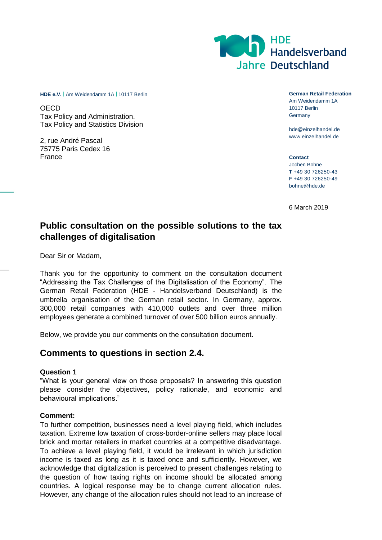

**HDE e.V.** | Am Weidendamm 1A | 10117 Berlin **German Retail Federation German Retail Federation** 

**OECD** Tax Policy and Administration. Tax Policy and Statistics Division

2, rue André Pascal 75775 Paris Cedex 16 France

Am Weidendamm 1A

10117 Berlin **Germany** 

hde@einzelhandel.de www.einzelhandel.de

**Contact** Jochen Bohne **T** +49 30 726250-43 **F** +49 30 726250-49 bohne@hde.de

6 March 2019

# **Public consultation on the possible solutions to the tax challenges of digitalisation**

Dear Sir or Madam,

Thank you for the opportunity to comment on the consultation document "Addressing the Tax Challenges of the Digitalisation of the Economy". The German Retail Federation (HDE - Handelsverband Deutschland) is the umbrella organisation of the German retail sector. In Germany, approx. 300,000 retail companies with 410,000 outlets and over three million employees generate a combined turnover of over 500 billion euros annually.

Below, we provide you our comments on the consultation document.

## **Comments to questions in section 2.4.**

#### **Question 1**

"What is your general view on those proposals? In answering this question please consider the objectives, policy rationale, and economic and behavioural implications."

#### **Comment:**

To further competition, businesses need a level playing field, which includes taxation. Extreme low taxation of cross-border-online sellers may place local brick and mortar retailers in market countries at a competitive disadvantage. To achieve a level playing field, it would be irrelevant in which jurisdiction income is taxed as long as it is taxed once and sufficiently. However, we acknowledge that digitalization is perceived to present challenges relating to the question of how taxing rights on income should be allocated among countries. A logical response may be to change current allocation rules. However, any change of the allocation rules should not lead to an increase of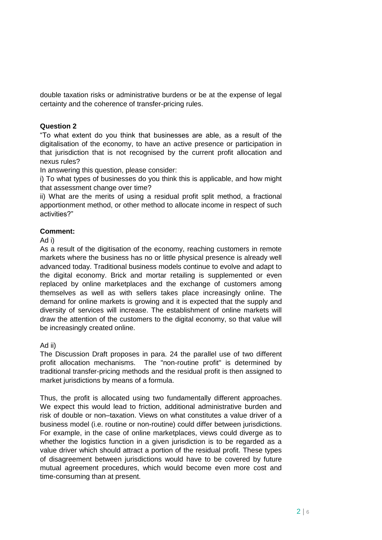double taxation risks or administrative burdens or be at the expense of legal certainty and the coherence of transfer-pricing rules.

## **Question 2**

"To what extent do you think that businesses are able, as a result of the digitalisation of the economy, to have an active presence or participation in that jurisdiction that is not recognised by the current profit allocation and nexus rules?

In answering this question, please consider:

i) To what types of businesses do you think this is applicable, and how might that assessment change over time?

ii) What are the merits of using a residual profit split method, a fractional apportionment method, or other method to allocate income in respect of such activities?"

## **Comment:**

Ad i)

As a result of the digitisation of the economy, reaching customers in remote markets where the business has no or little physical presence is already well advanced today. Traditional business models continue to evolve and adapt to the digital economy. Brick and mortar retailing is supplemented or even replaced by online marketplaces and the exchange of customers among themselves as well as with sellers takes place increasingly online. The demand for online markets is growing and it is expected that the supply and diversity of services will increase. The establishment of online markets will draw the attention of the customers to the digital economy, so that value will be increasingly created online.

#### Ad ii)

The Discussion Draft proposes in para. 24 the parallel use of two different profit allocation mechanisms. The "non-routine profit" is determined by traditional transfer-pricing methods and the residual profit is then assigned to market jurisdictions by means of a formula.

Thus, the profit is allocated using two fundamentally different approaches. We expect this would lead to friction, additional administrative burden and risk of double or non–taxation. Views on what constitutes a value driver of a business model (i.e. routine or non-routine) could differ between jurisdictions. For example, in the case of online marketplaces, views could diverge as to whether the logistics function in a given jurisdiction is to be regarded as a value driver which should attract a portion of the residual profit. These types of disagreement between jurisdictions would have to be covered by future mutual agreement procedures, which would become even more cost and time-consuming than at present.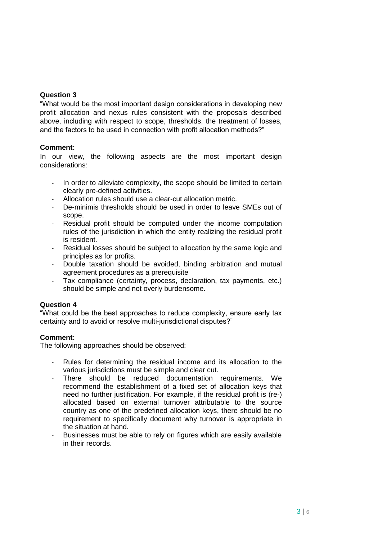## **Question 3**

"What would be the most important design considerations in developing new profit allocation and nexus rules consistent with the proposals described above, including with respect to scope, thresholds, the treatment of losses, and the factors to be used in connection with profit allocation methods?"

#### **Comment:**

In our view, the following aspects are the most important design considerations:

- In order to alleviate complexity, the scope should be limited to certain clearly pre-defined activities.
- Allocation rules should use a clear-cut allocation metric.
- De-minimis thresholds should be used in order to leave SMEs out of scope.
- Residual profit should be computed under the income computation rules of the jurisdiction in which the entity realizing the residual profit is resident.
- Residual losses should be subject to allocation by the same logic and principles as for profits.
- Double taxation should be avoided, binding arbitration and mutual agreement procedures as a prerequisite
- Tax compliance (certainty, process, declaration, tax payments, etc.) should be simple and not overly burdensome.

#### **Question 4**

"What could be the best approaches to reduce complexity, ensure early tax certainty and to avoid or resolve multi-jurisdictional disputes?"

## **Comment:**

The following approaches should be observed:

- Rules for determining the residual income and its allocation to the various jurisdictions must be simple and clear cut.
- There should be reduced documentation requirements. We recommend the establishment of a fixed set of allocation keys that need no further justification. For example, if the residual profit is (re-) allocated based on external turnover attributable to the source country as one of the predefined allocation keys, there should be no requirement to specifically document why turnover is appropriate in the situation at hand.
- Businesses must be able to rely on figures which are easily available in their records.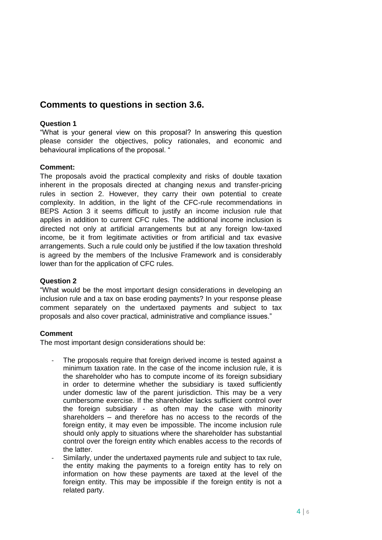# **Comments to questions in section 3.6.**

### **Question 1**

"What is your general view on this proposal? In answering this question please consider the objectives, policy rationales, and economic and behavioural implications of the proposal. "

## **Comment:**

The proposals avoid the practical complexity and risks of double taxation inherent in the proposals directed at changing nexus and transfer-pricing rules in section 2. However, they carry their own potential to create complexity. In addition, in the light of the CFC-rule recommendations in BEPS Action 3 it seems difficult to justify an income inclusion rule that applies in addition to current CFC rules. The additional income inclusion is directed not only at artificial arrangements but at any foreign low-taxed income, be it from legitimate activities or from artificial and tax evasive arrangements. Such a rule could only be justified if the low taxation threshold is agreed by the members of the Inclusive Framework and is considerably lower than for the application of CFC rules.

#### **Question 2**

"What would be the most important design considerations in developing an inclusion rule and a tax on base eroding payments? In your response please comment separately on the undertaxed payments and subject to tax proposals and also cover practical, administrative and compliance issues."

#### **Comment**

The most important design considerations should be:

- The proposals require that foreign derived income is tested against a minimum taxation rate. In the case of the income inclusion rule, it is the shareholder who has to compute income of its foreign subsidiary in order to determine whether the subsidiary is taxed sufficiently under domestic law of the parent jurisdiction. This may be a very cumbersome exercise. If the shareholder lacks sufficient control over the foreign subsidiary - as often may the case with minority shareholders – and therefore has no access to the records of the foreign entity, it may even be impossible. The income inclusion rule should only apply to situations where the shareholder has substantial control over the foreign entity which enables access to the records of the latter.
- Similarly, under the undertaxed payments rule and subject to tax rule, the entity making the payments to a foreign entity has to rely on information on how these payments are taxed at the level of the foreign entity. This may be impossible if the foreign entity is not a related party.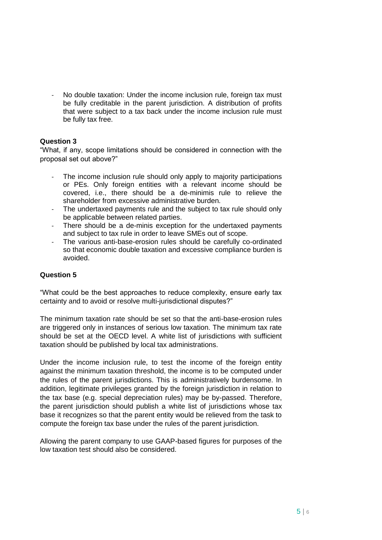- No double taxation: Under the income inclusion rule, foreign tax must be fully creditable in the parent jurisdiction. A distribution of profits that were subject to a tax back under the income inclusion rule must be fully tax free.

## **Question 3**

"What, if any, scope limitations should be considered in connection with the proposal set out above?"

- The income inclusion rule should only apply to majority participations or PEs. Only foreign entities with a relevant income should be covered, i.e., there should be a de-minimis rule to relieve the shareholder from excessive administrative burden.
- The undertaxed payments rule and the subject to tax rule should only be applicable between related parties.
- There should be a de-minis exception for the undertaxed payments and subject to tax rule in order to leave SMEs out of scope.
- The various anti-base-erosion rules should be carefully co-ordinated so that economic double taxation and excessive compliance burden is avoided.

## **Question 5**

"What could be the best approaches to reduce complexity, ensure early tax certainty and to avoid or resolve multi-jurisdictional disputes?"

The minimum taxation rate should be set so that the anti-base-erosion rules are triggered only in instances of serious low taxation. The minimum tax rate should be set at the OECD level. A white list of jurisdictions with sufficient taxation should be published by local tax administrations.

Under the income inclusion rule, to test the income of the foreign entity against the minimum taxation threshold, the income is to be computed under the rules of the parent jurisdictions. This is administratively burdensome. In addition, legitimate privileges granted by the foreign jurisdiction in relation to the tax base (e.g. special depreciation rules) may be by-passed. Therefore, the parent jurisdiction should publish a white list of jurisdictions whose tax base it recognizes so that the parent entity would be relieved from the task to compute the foreign tax base under the rules of the parent jurisdiction.

Allowing the parent company to use GAAP-based figures for purposes of the low taxation test should also be considered.